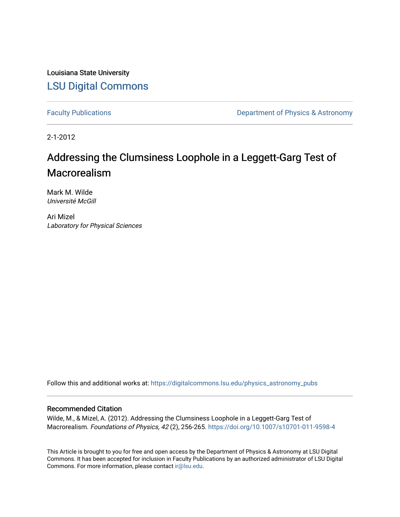Louisiana State University [LSU Digital Commons](https://digitalcommons.lsu.edu/)

[Faculty Publications](https://digitalcommons.lsu.edu/physics_astronomy_pubs) **Exercise 2 and Table 2 and Table 2 and Table 2 and Table 2 and Table 2 and Table 2 and Table 2 and Table 2 and Table 2 and Table 2 and Table 2 and Table 2 and Table 2 and Table 2 and Table 2 and Table** 

2-1-2012

# Addressing the Clumsiness Loophole in a Leggett-Garg Test of Macrorealism

Mark M. Wilde Université McGill

Ari Mizel Laboratory for Physical Sciences

Follow this and additional works at: [https://digitalcommons.lsu.edu/physics\\_astronomy\\_pubs](https://digitalcommons.lsu.edu/physics_astronomy_pubs?utm_source=digitalcommons.lsu.edu%2Fphysics_astronomy_pubs%2F5744&utm_medium=PDF&utm_campaign=PDFCoverPages) 

## Recommended Citation

Wilde, M., & Mizel, A. (2012). Addressing the Clumsiness Loophole in a Leggett-Garg Test of Macrorealism. Foundations of Physics, 42 (2), 256-265. <https://doi.org/10.1007/s10701-011-9598-4>

This Article is brought to you for free and open access by the Department of Physics & Astronomy at LSU Digital Commons. It has been accepted for inclusion in Faculty Publications by an authorized administrator of LSU Digital Commons. For more information, please contact [ir@lsu.edu](mailto:ir@lsu.edu).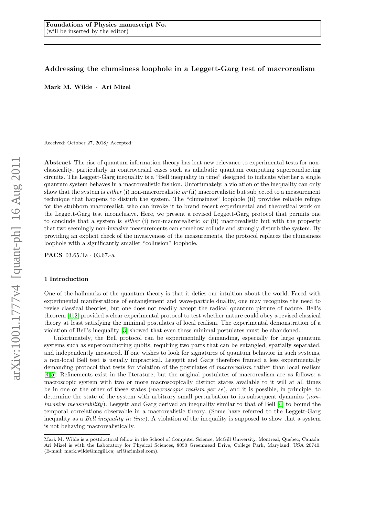## Addressing the clumsiness loophole in a Leggett-Garg test of macrorealism

Mark M. Wilde · Ari Mizel

Received: October 27, 2018/ Accepted:

Abstract The rise of quantum information theory has lent new relevance to experimental tests for nonclassicality, particularly in controversial cases such as adiabatic quantum computing superconducting circuits. The Leggett-Garg inequality is a "Bell inequality in time" designed to indicate whether a single quantum system behaves in a macrorealistic fashion. Unfortunately, a violation of the inequality can only show that the system is *either* (i) non-macrorealistic or (ii) macrorealistic but subjected to a measurement technique that happens to disturb the system. The "clumsiness" loophole (ii) provides reliable refuge for the stubborn macrorealist, who can invoke it to brand recent experimental and theoretical work on the Leggett-Garg test inconclusive. Here, we present a revised Leggett-Garg protocol that permits one to conclude that a system is *either* (i) non-macrorealistic or (ii) macrorealistic but with the property that two seemingly non-invasive measurements can somehow collude and strongly disturb the system. By providing an explicit check of the invasiveness of the measurements, the protocol replaces the clumsiness loophole with a significantly smaller "collusion" loophole.

PACS 03.65.Ta · 03.67.-a

## 1 Introduction

One of the hallmarks of the quantum theory is that it defies our intuition about the world. Faced with experimental manifestations of entanglement and wave-particle duality, one may recognize the need to revise classical theories, but one does not readily accept the radical quantum picture of nature. Bell's theorem [\[1,](#page-7-0) [2\]](#page-7-1) provided a clear experimental protocol to test whether nature could obey a revised classical theory at least satisfying the minimal postulates of local realism. The experimental demonstration of a violation of Bell's inequality [\[3\]](#page-7-2) showed that even these minimal postulates must be abandoned.

Unfortunately, the Bell protocol can be experimentally demanding, especially for large quantum systems such as superconducting qubits, requiring two parts that can be entangled, spatially separated, and independently measured. If one wishes to look for signatures of quantum behavior in such systems, a non-local Bell test is usually impractical. Leggett and Garg therefore framed a less experimentally demanding protocol that tests for violation of the postulates of macrorealism rather than local realism [\[4,](#page-7-3) [5\]](#page-7-4). Refinements exist in the literature, but the original postulates of macrorealism are as follows: a macroscopic system with two or more macroscopically distinct states available to it will at all times be in one or the other of these states (macroscopic realism per se), and it is possible, in principle, to determine the state of the system with arbitrary small perturbation to its subsequent dynamics (noninvasive measurability). Leggett and Garg derived an inequality similar to that of Bell [\[4\]](#page-7-3) to bound the temporal correlations observable in a macrorealistic theory. (Some have referred to the Leggett-Garg inequality as a Bell inequality in time). A violation of the inequality is supposed to show that a system is not behaving macrorealistically.

Mark M. Wilde is a postdoctoral fellow in the School of Computer Science, McGill University, Montreal, Quebec, Canada. Ari Mizel is with the Laboratory for Physical Sciences, 8050 Greenmead Drive, College Park, Maryland, USA 20740. (E-mail: mark.wilde@mcgill.ca; ari@arimizel.com).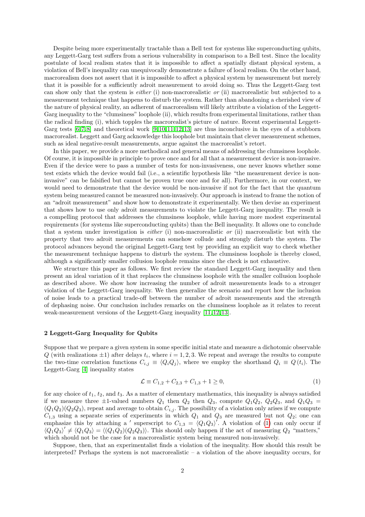Despite being more experimentally tractable than a Bell test for systems like superconducting qubits, any Leggett-Garg test suffers from a serious vulnerability in comparison to a Bell test. Since the locality postulate of local realism states that it is impossible to affect a spatially distant physical system, a violation of Bell's inequality can unequivocally demonstrate a failure of local realism. On the other hand, macrorealism does not assert that it is impossible to affect a physical system by measurement but merely that it is possible for a sufficiently adroit measurement to avoid doing so. Thus the Leggett-Garg test can show only that the system is either (i) non-macrorealistic or (ii) macrorealistic but subjected to a measurement technique that happens to disturb the system. Rather than abandoning a cherished view of the nature of physical reality, an adherent of macrorealism will likely attribute a violation of the Leggett-Garg inequality to the "clumsiness" loophole (ii), which results from experimental limitations, rather than the radical finding (i), which topples the macrorealist's picture of nature. Recent experimental Leggett-Garg tests  $[6, 7, 8]$  $[6, 7, 8]$  $[6, 7, 8]$  and theoretical work  $[9, 10, 11, 12, 13]$  $[9, 10, 11, 12, 13]$  $[9, 10, 11, 12, 13]$  $[9, 10, 11, 12, 13]$  $[9, 10, 11, 12, 13]$  $[9, 10, 11, 12, 13]$  are thus inconclusive in the eyes of a stubborn macrorealist. Leggett and Garg acknowledge this loophole but maintain that clever measurement schemes, such as ideal negative-result measurements, argue against the macrorealist's retort.

In this paper, we provide a more methodical and general means of addressing the clumsiness loophole. Of course, it is impossible in principle to prove once and for all that a measurement device is non-invasive. Even if the device were to pass a number of tests for non-invasiveness, one never knows whether some test exists which the device would fail (i.e., a scientific hypothesis like "the measurement device is noninvasive" can be falsified but cannot be proven true once and for all). Furthermore, in our context, we would need to demonstrate that the device would be non-invasive if not for the fact that the quantum system being measured cannot be measured non-invasively. Our approach is instead to frame the notion of an "adroit measurement" and show how to demonstrate it experimentally. We then devise an experiment that shows how to use only adroit measurements to violate the Leggett-Garg inequality. The result is a compelling protocol that addresses the clumsiness loophole, while having more modest experimental requirements (for systems like superconducting qubits) than the Bell inequality. It allows one to conclude that a system under investigation is either (i) non-macrorealistic or (ii) macrorealistic but with the property that two adroit measurements can somehow collude and strongly disturb the system. The protocol advances beyond the original Leggett-Garg test by providing an explicit way to check whether the measurement technique happens to disturb the system. The clumsiness loophole is thereby closed, although a significantly smaller collusion loophole remains since the check is not exhaustive.

We structure this paper as follows. We first review the standard Leggett-Garg inequality and then present an ideal variation of it that replaces the clumsiness loophole with the smaller collusion loophole as described above. We show how increasing the number of adroit measurements leads to a stronger violation of the Leggett-Garg inequality. We then generalize the scenario and report how the inclusion of noise leads to a practical trade-off between the number of adroit measurements and the strength of dephasing noise. Our conclusion includes remarks on the clumsiness loophole as it relates to recent weak-measurement versions of the Leggett-Garg inequality [\[11,](#page-7-10) [12,](#page-7-11) [13\]](#page-7-12).

## 2 Leggett-Garg Inequality for Qubits

Suppose that we prepare a given system in some specific initial state and measure a dichotomic observable Q (with realizations  $\pm 1$ ) after delays  $t_i$ , where  $i = 1, 2, 3$ . We repeat and average the results to compute the two-time correlation functions  $C_{i,j} \equiv \langle Q_i Q_j \rangle$ , where we employ the shorthand  $Q_i \equiv Q(t_i)$ . The Leggett-Garg [\[4\]](#page-7-3) inequality states

<span id="page-2-0"></span>
$$
\mathcal{L} \equiv C_{1,2} + C_{2,3} + C_{1,3} + 1 \ge 0,\tag{1}
$$

for any choice of  $t_1$ ,  $t_2$ , and  $t_3$ . As a matter of elementary mathematics, this inequality is always satisfied if we measure three  $\pm 1$ -valued numbers  $Q_1$  then  $Q_2$  then  $Q_3$ , compute  $Q_1Q_2$ ,  $Q_2Q_3$ , and  $Q_1Q_3$  $(Q_1Q_2)(Q_2Q_3)$ , repeat and average to obtain  $C_{i,j}$ . The possibility of a violation only arises if we compute  $C_{1,3}$  using a separate series of experiments in which  $Q_1$  and  $Q_3$  are measured but not  $Q_2$ ; one can emphasize this by attaching a ' superscript to  $C_{1,3} = \langle Q_1 Q_3 \rangle'$ . A violation of [\(1\)](#page-2-0) can only occur if  $\langle Q_1 Q_3 \rangle' \neq \langle Q_1 Q_3 \rangle = \langle (Q_1 Q_2)(Q_2 Q_3) \rangle$ . This should only happen if the act of measuring  $Q_2$  "matters," which should not be the case for a macrorealistic system being measured non-invasively.

Suppose, then, that an experimentalist finds a violation of the inequality. How should this result be interpreted? Perhaps the system is not macrorealistic – a violation of the above inequality occurs, for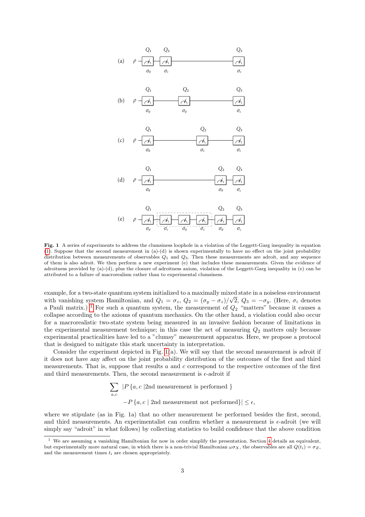

<span id="page-3-1"></span>Fig. 1 A series of experiments to address the clumsiness loophole in a violation of the Leggett-Garg inequality in equation [\(1\)](#page-2-0). Suppose that the second measurement in (a)-(d) is shown experimentally to have no effect on the joint probability distribution between measurements of observables  $Q_1$  and  $Q_3$ . Then these measurements are adroit, and any sequence of them is also adroit. We then perform a new experiment (e) that includes these measurements. Given the evidence of adroitness provided by (a)-(d), plus the closure of adroitness axiom, violation of the Leggett-Garg inequality in (e) can be attributed to a failure of macrorealism rather than to experimental clumsiness.

example, for a two-state quantum system initialized to a maximally mixed state in a noiseless environment with vanishing system Hamiltonian, and  $Q_1 = \sigma_z$ ,  $Q_2 = (\sigma_y - \sigma_z)/\sqrt{2}$ ,  $Q_3 = -\sigma_y$ . (Here,  $\sigma_i$  denotes a Pauli matrix.)<sup>[1](#page-3-0)</sup> For such a quantum system, the measurement of  $Q_2$  "matters" because it causes a collapse according to the axioms of quantum mechanics. On the other hand, a violation could also occur for a macrorealistic two-state system being measured in an invasive fashion because of limitations in the experimental measurement technique; in this case the act of measuring  $Q_2$  matters only because experimental practicalities have led to a "clumsy" measurement apparatus. Here, we propose a protocol that is designed to mitigate this stark uncertainty in interpretation.

Consider the experiment depicted in Fig.  $1(a)$ . We will say that the second measurement is adroit if it does not have any affect on the joint probability distribution of the outcomes of the first and third measurements. That is, suppose that results  $a$  and  $c$  correspond to the respective outcomes of the first and third measurements. Then, the second measurement is  $\epsilon$ -adroit if

$$
\sum_{a,c} |P\{a,c \mid 2nd \text{ measurement is performed }\}\
$$
  
-
$$
P\{a,c \mid 2nd \text{ measurement not performed}\}| \le \epsilon,
$$

where we stipulate (as in Fig. 1a) that no other measurement be performed besides the first, second, and third measurements. An experimentalist can confirm whether a measurement is  $\epsilon$ -adroit (we will simply say "adroit" in what follows) by collecting statistics to build confidence that the above condition

<span id="page-3-0"></span>We are assuming a vanishing Hamiltonian for now in order simplify the presentation. Section [4](#page-5-0) details an equivalent, but experimentally more natural case, in which there is a non-trivial Hamiltonian  $\omega \sigma_X$ , the observables are all  $Q(t_i) = \sigma_Z$ , and the measurement times  $t_i$  are chosen appropriately.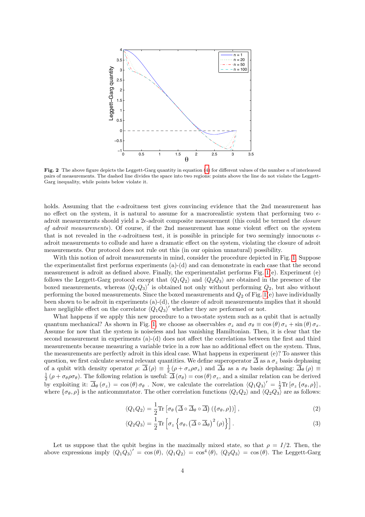

<span id="page-4-0"></span>Fig. 2 The above figure depicts the Leggett-Garg quantity in equation  $(4)$  for different values of the number n of interleaved pairs of measurements. The dashed line divides the space into two regions: points above the line do not violate the Leggett-Garg inequality, while points below violate it.

holds. Assuming that the  $\epsilon$ -adroitness test gives convincing evidence that the 2nd measurement has no effect on the system, it is natural to assume for a macrorealistic system that performing two  $\epsilon$ adroit measurements should yield a  $2\epsilon$ -adroit composite measurement (this could be termed the *closure* of adroit measurements). Of course, if the 2nd measurement has some violent effect on the system that is not revealed in the  $\epsilon$ -adroitness test, it is possible in principle for two seemingly innocuous  $\epsilon$ adroit measurements to collude and have a dramatic effect on the system, violating the closure of adroit measurements. Our protocol does not rule out this (in our opinion unnatural) possibility.

With this notion of adroit measurements in mind, consider the procedure depicted in Fig. [1.](#page-3-1) Suppose the experimentalist first performs experiments (a)-(d) and can demonstrate in each case that the second measurement is adroit as defined above. Finally, the experimentalist performs Fig.  $1(e)$ . Experiment (e) follows the Leggett-Garg protocol except that  $\langle Q_1 Q_2 \rangle$  and  $\langle Q_2 Q_3 \rangle$  are obtained in the presence of the boxed measurements, whereas  $\langle Q_1 Q_3 \rangle$  is obtained not only without performing  $Q_2$ , but also without performing the boxed measurements. Since the boxed measurements and  $Q_2$  of Fig. [1\(](#page-3-1)e) have individually been shown to be adroit in experiments (a)-(d), the closure of adroit measurements implies that it should have negligible effect on the correlator  $\langle \hat{Q}_1 \hat{Q}_3 \rangle'$  whether they are performed or not.

What happens if we apply this new procedure to a two-state system such as a qubit that is actually quantum mechanical? As shown in Fig. [1,](#page-3-1) we choose as observables  $\sigma_z$  and  $\sigma_\theta \equiv \cos(\theta) \sigma_z + \sin(\theta) \sigma_x$ . Assume for now that the system is noiseless and has vanishing Hamiltonian. Then, it is clear that the second measurement in experiments (a)-(d) does not affect the correlations between the first and third measurements because measuring a variable twice in a row has no additional effect on the system. Thus, the measurements are perfectly adroit in this ideal case. What happens in experiment (e)? To answer this question, we first calculate several relevant quantities. We define superoperator  $\overline{\Delta}$  as a  $\sigma_z$  basis dephasing of a qubit with density operator  $\rho$ :  $\overline{\Delta}(\rho) \equiv \frac{1}{2} (\rho + \sigma_z \rho \sigma_z)$  and  $\overline{\Delta}_{\theta}$  as a  $\sigma_{\theta}$  basis dephasing:  $\overline{\Delta}_{\theta}(\rho) \equiv \frac{1}{2} (\rho + \sigma_{\theta} \rho \sigma_{\theta})$ . The following relation is useful:  $\overline{\Delta}(\sigma_{\theta}) = \cos(\theta) \sigma_z$ , a by exploiting it:  $\overline{\Delta}_{\theta}(\sigma_z) = \cos(\theta) \sigma_{\theta}$ . Now, we calculate the correlation  $\langle Q_1 Q_3 \rangle' = \frac{1}{2} \text{Tr} [\sigma_z \{\sigma_{\theta}, \rho\}]$ , where  $\{\sigma_{\theta}, \rho\}$  is the anticommutator. The other correlation functions  $\langle Q_1 Q_2 \rangle$  and  $\langle Q_2 Q_3 \rangle$  are as follows:

$$
\langle Q_1 Q_2 \rangle = \frac{1}{2} \text{Tr} \left[ \sigma_\theta \left( \overline{\Delta} \circ \overline{\Delta}_\theta \circ \overline{\Delta} \right) \left( \{ \sigma_\theta, \rho \} \right) \right], \tag{2}
$$

$$
\langle Q_2 Q_3 \rangle = \frac{1}{2} \text{Tr} \left[ \sigma_z \left\{ \sigma_\theta, \left( \overline{\Delta} \circ \overline{\Delta}_\theta \right)^2 (\rho) \right\} \right]. \tag{3}
$$

Let us suppose that the qubit begins in the maximally mixed state, so that  $\rho = I/2$ . Then, the above expressions imply  $\langle Q_1 \overline{Q_3} \rangle' = \cos(\theta)$ ,  $\langle Q_1 Q_2 \rangle = \cos^4(\theta)$ ,  $\langle Q_2 Q_3 \rangle = \cos(\theta)$ . The Leggett-Garg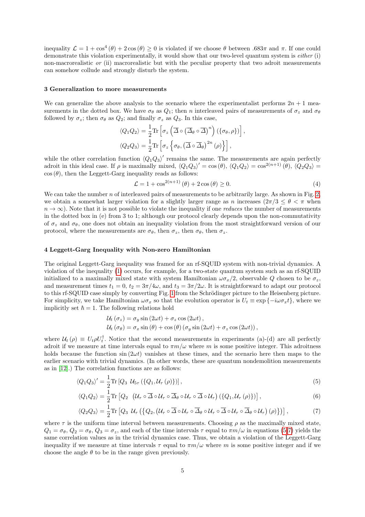inequality  $\mathcal{L} = 1 + \cos^4(\theta) + 2\cos(\theta) \ge 0$  is violated if we choose  $\theta$  between .683 $\pi$  and  $\pi$ . If one could demonstrate this violation experimentally, it would show that our two-level quantum system is either (i) non-macrorealistic or (ii) macrorealistic but with the peculiar property that two adroit measurements can somehow collude and strongly disturb the system.

#### 3 Generalization to more measurements

We can generalize the above analysis to the scenario where the experimentalist performs  $2n + 1$  measurements in the dotted box. We have  $\sigma_{\theta}$  as  $Q_1$ ; then n interleaved pairs of measurements of  $\sigma_z$  and  $\sigma_{\theta}$ followed by  $\sigma_z$ ; then  $\sigma_\theta$  as  $Q_2$ ; and finally  $\sigma_z$  as  $Q_3$ . In this case,

$$
\langle Q_1 Q_2 \rangle = \frac{1}{2} \text{Tr} \left[ \sigma_z \left( \overline{\Delta} \circ \left( \overline{\Delta}_{\theta} \circ \overline{\Delta} \right)^n \right) \left( \{ \sigma_{\theta}, \rho \} \right) \right],
$$
  

$$
\langle Q_2 Q_3 \rangle = \frac{1}{2} \text{Tr} \left[ \sigma_z \left\{ \sigma_{\theta}, \left( \overline{\Delta} \circ \overline{\Delta}_{\theta} \right)^{2n} (\rho) \right\} \right],
$$

while the other correlation function  $\langle Q_1 Q_3 \rangle'$  remains the same. The measurements are again perfectly adroit in this ideal case. If  $\rho$  is maximally mixed,  $\langle Q_1Q_3\rangle' = \cos(\theta)$ ,  $\langle Q_1Q_2\rangle = \cos^{2(n+1)}(\theta)$ ,  $\langle Q_2Q_3\rangle =$  $\cos(\theta)$ , then the Leggett-Garg inequality reads as follows:

<span id="page-5-1"></span>
$$
\mathcal{L} = 1 + \cos^{2(n+1)}(\theta) + 2\cos(\theta) \ge 0.
$$
\n
$$
(4)
$$

We can take the number  $n$  of interleaved pairs of measurements to be arbitrarily large. As shown in Fig. [2,](#page-4-0) we obtain a somewhat larger violation for a slightly larger range as n increases  $(2\pi/3 \le \theta < \pi$  when  $n \to \infty$ ). Note that it is not possible to violate the inequality if one *reduces* the number of measurements in the dotted box in (e) from 3 to 1; although our protocol clearly depends upon the non-commutativity of  $\sigma_z$  and  $\sigma_\theta$ , one does not obtain an inequality violation from the most straightforward version of our protocol, where the measurements are  $\sigma_{\theta}$ , then  $\sigma_{z}$ , then  $\sigma_{\theta}$ , then  $\sigma_{z}$ .

### <span id="page-5-0"></span>4 Leggett-Garg Inequality with Non-zero Hamiltonian

The original Leggett-Garg inequality was framed for an rf-SQUID system with non-trivial dynamics. A violation of the inequality [\(1\)](#page-2-0) occurs, for example, for a two-state quantum system such as an rf-SQUID initialized to a maximally mixed state with system Hamiltonian  $\omega \sigma_x/2$ , observable Q chosen to be  $\sigma_z$ , and measurement times  $t_1 = 0$ ,  $t_2 = 3\pi/4\omega$ , and  $t_3 = 3\pi/2\omega$ . It is straightforward to adapt our protocol to this rf-SQUID case simply by converting Fig. [1](#page-3-1) from the Schrödinger picture to the Heisenberg picture. For simplicity, we take Hamiltonian  $\omega \sigma_x$  so that the evolution operator is  $U_t \equiv \exp \{-i\omega \sigma_x t\}$ , where we implicitly set  $\hbar = 1$ . The following relations hold

<span id="page-5-3"></span><span id="page-5-2"></span>
$$
\mathcal{U}_{t}(\sigma_{z}) = \sigma_{y} \sin (2\omega t) + \sigma_{z} \cos (2\omega t),
$$
  

$$
\mathcal{U}_{t}(\sigma_{\theta}) = \sigma_{x} \sin (\theta) + \cos (\theta) (\sigma_{y} \sin (2\omega t) + \sigma_{z} \cos (2\omega t)),
$$

where  $\mathcal{U}_t(\rho) \equiv U_t \rho U_t^{\dagger}$ . Notice that the second measurements in experiments (a)-(d) are all perfectly adroit if we measure at time intervals equal to  $\pi m/\omega$  where m is some positive integer. This adroitness holds because the function  $\sin(2\omega t)$  vanishes at these times, and the scenario here then maps to the earlier scenario with trivial dynamics. (In other words, these are quantum nondemolition measurements as in [\[12\]](#page-7-11).) The correlation functions are as follows:

$$
\langle Q_1 Q_3 \rangle' = \frac{1}{2} \text{Tr} \left[ Q_3 \, \mathcal{U}_{5\tau} \left( \{ Q_1, \mathcal{U}_{\tau} \left( \rho \right) \} \right) \right],\tag{5}
$$

$$
\langle Q_1 Q_2 \rangle = \frac{1}{2} \text{Tr} \left[ Q_2 \left( \mathcal{U}_\tau \circ \overline{\Delta} \circ \mathcal{U}_\tau \circ \overline{\Delta}_\theta \circ \mathcal{U}_\tau \circ \overline{\Delta} \circ \mathcal{U}_\tau \right) \left( \{ Q_1, \mathcal{U}_\tau (\rho) \} \right) \right], \tag{6}
$$

$$
\langle Q_2 Q_3 \rangle = \frac{1}{2} \text{Tr} \left[ Q_3 \, \mathcal{U}_\tau \left( \left\{ Q_2, \left( \mathcal{U}_\tau \circ \overline{\Delta} \circ \mathcal{U}_\tau \circ \overline{\Delta}_\theta \circ \mathcal{U}_\tau \circ \overline{\Delta} \circ \mathcal{U}_\tau \circ \overline{\Delta}_\theta \circ \mathcal{U}_\tau \right) (\rho) \right\} \right) \right],\tag{7}
$$

where  $\tau$  is the uniform time interval between measurements. Choosing  $\rho$  as the maximally mixed state,  $Q_1 = \sigma_\theta$ ,  $Q_2 = \sigma_\theta$ ,  $Q_3 = \sigma_z$ , and each of the time intervals  $\tau$  equal to  $\pi m/\omega$  in equations [\(5-](#page-5-2)[7\)](#page-5-3) yields the same correlation values as in the trivial dynamics case. Thus, we obtain a violation of the Leggett-Garg inequality if we measure at time intervals  $\tau$  equal to  $\pi m/\omega$  where m is some positive integer and if we choose the angle  $\theta$  to be in the range given previously.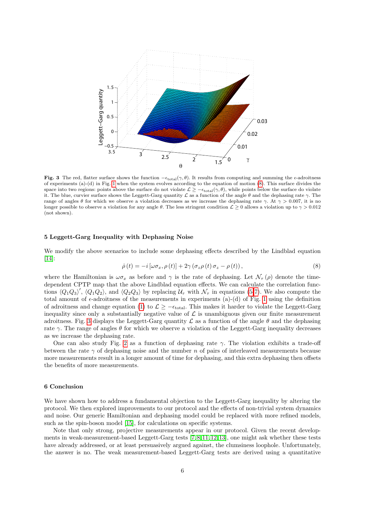

<span id="page-6-1"></span>**Fig. 3** The red, flatter surface shows the function  $-\epsilon_{\text{total}}(\gamma, \theta)$ . It results from computing and summing the  $\epsilon$ -adroitness of experiments (a)-(d) in Fig. [1](#page-3-1) when the system evolves according to the equation of motion [\(8\)](#page-6-0). This surface divides the space into two regions: points above the surface do not violate  $\mathcal{L} \ge -\epsilon_{\text{total}}(\gamma, \theta)$ , while points below the surface do violate it. The blue, curvier surface shows the Leggett-Garg quantity  $\mathcal L$  as a function of the angle  $\theta$  and the dephasing rate  $\gamma$ . The range of angles  $\theta$  for which we observe a violation decreases as we increase the dephasing rate  $\gamma$ . At  $\gamma > 0.007$ , it is no longer possible to observe a violation for any angle θ. The less stringent condition  $\mathcal{L} \geq 0$  allows a violation up to  $\gamma > 0.012$ (not shown).

#### 5 Leggett-Garg Inequality with Dephasing Noise

We modify the above scenarios to include some dephasing effects described by the Lindblad equation [\[14\]](#page-7-13):

<span id="page-6-0"></span>
$$
\dot{\rho}(t) = -i\left[\omega\sigma_x, \rho(t)\right] + 2\gamma\left(\sigma_z\rho(t)\sigma_z - \rho(t)\right),\tag{8}
$$

where the Hamiltonian is  $\omega \sigma_x$  as before and  $\gamma$  is the rate of dephasing. Let  $\mathcal{N}_{\tau}(\rho)$  denote the timedependent CPTP map that the above Lindblad equation effects. We can calculate the correlation functions  $\langle Q_1Q_3\rangle'$ ,  $\langle Q_1Q_2\rangle$ , and  $\langle Q_2Q_3\rangle$  by replacing  $\mathcal{U}_{\tau}$  with  $\mathcal{N}_{\tau}$  in equations [\(5-](#page-5-2)[7\)](#page-5-3). We also compute the total amount of  $\epsilon$ -adroitness of the measurements in experiments (a)-(d) of Fig. [1](#page-3-1) using the definition of adroitness and change equation [\(1\)](#page-2-0) to  $\mathcal{L} \ge -\epsilon_{\text{total}}$ . This makes it harder to violate the Leggett-Garg inequality since only a substantially negative value of  $\mathcal L$  is unambiguous given our finite measurement adroitness. Fig. [3](#page-6-1) displays the Leggett-Garg quantity  $\mathcal L$  as a function of the angle  $\theta$  and the dephasing rate  $\gamma$ . The range of angles  $\theta$  for which we observe a violation of the Leggett-Garg inequality decreases as we increase the dephasing rate.

One can also study Fig. [2](#page-4-0) as a function of dephasing rate  $\gamma$ . The violation exhibits a trade-off between the rate  $\gamma$  of dephasing noise and the number n of pairs of interleaved measurements because more measurements result in a longer amount of time for dephasing, and this extra dephasing then offsets the benefits of more measurements.

## 6 Conclusion

We have shown how to address a fundamental objection to the Leggett-Garg inequality by altering the protocol. We then explored improvements to our protocol and the effects of non-trivial system dynamics and noise. Our generic Hamiltonian and dephasing model could be replaced with more refined models, such as the spin-boson model [\[15\]](#page-7-14), for calculations on specific systems.

Note that only strong, projective measurements appear in our protocol. Given the recent developments in weak-measurement-based Leggett-Garg tests [\[7,](#page-7-6) [8,](#page-7-7) [11,](#page-7-10) [12,](#page-7-11) [13\]](#page-7-12), one might ask whether these tests have already addressed, or at least persuasively argued against, the clumsiness loophole. Unfortunately, the answer is no. The weak measurement-based Leggett-Garg tests are derived using a quantitative